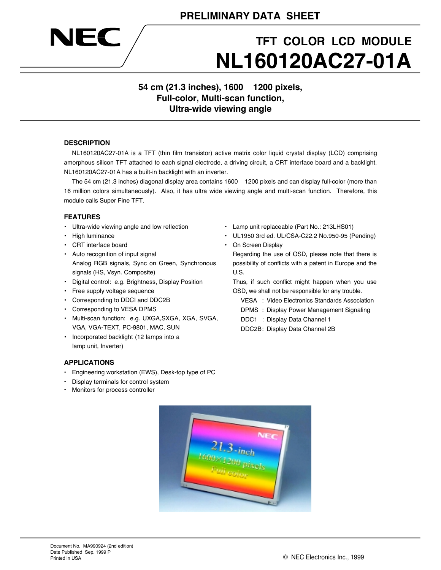## **TFT COLOR LCD MODULE NL160120AC27-01A**

**54 cm (21.3 inches), 1600 1200 pixels, Full-color, Multi-scan function, Ultra-wide viewing angle**

### **DESCRIPTION**

EC

NL160120AC27-01A is a TFT (thin film transistor) active matrix color liquid crystal display (LCD) comprising amorphous silicon TFT attached to each signal electrode, a driving circuit, a CRT interface board and a backlight. NL160120AC27-01A has a built-in backlight with an inverter.

The 54 cm (21.3 inches) diagonal display area contains 1600 1200 pixels and can display full-color (more than 16 million colors simultaneously). Also, it has ultra wide viewing angle and multi-scan function. Therefore, this module calls Super Fine TFT.

### **FEATURES**

- Ultra-wide viewing angle and low reflection
- High luminance
- CRT interface board
- Auto recognition of input signal Analog RGB signals, Sync on Green, Synchronous signals (HS, Vsyn. Composite)
- Digital control: e.g. Brightness, Display Position
- Free supply voltage sequence
- Corresponding to DDCI and DDC2B
- Corresponding to VESA DPMS
- Multi-scan function: e.g. UXGA,SXGA, XGA, SVGA, VGA, VGA-TEXT, PC-9801, MAC, SUN
- lamp unit, Inverter)
- 
- 
- Incorporated backlight (12 lamps into a
- **APPLICATIONS**
- Engineering workstation (EWS), Desk-top type of PC
- Display terminals for control system
- Monitors for process controller
- Lamp unit replaceable (Part No.: 213LHS01)
- UL1950 3rd ed. UL/CSA-C22.2 No.950-95 (Pending)
- On Screen Display

Regarding the use of OSD, please note that there is possibility of conflicts with a patent in Europe and the U.S.

Thus, if such conflict might happen when you use OSD, we shall not be responsible for any trouble.

- VESA : Video Electronics Standards Association
- DPMS : Display Power Management Signaling
- DDC1 : Display Data Channel 1

DDC2B: Display Data Channel 2B

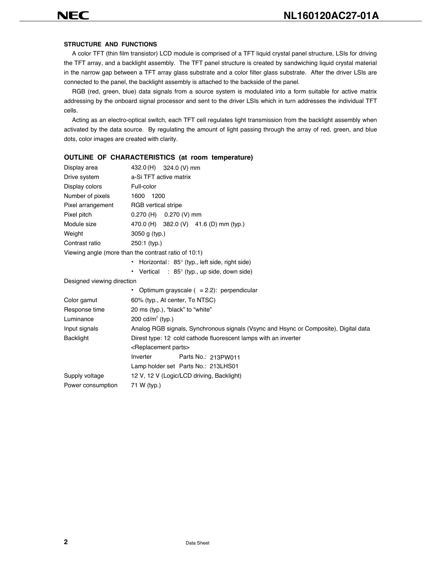### **STRUCTURE AND FUNCTIONS**

A color TFT (thin film transistor) LCD module is comprised of a TFT liquid crystal panel structure, LSIs for driving the TFT array, and a backlight assembly. The TFT panel structure is created by sandwiching liquid crystal material in the narrow gap between a TFT array glass substrate and a color filter glass substrate. After the driver LSIs are connected to the panel, the backlight assembly is attached to the backside of the panel.

RGB (red, green, blue) data signals from a source system is modulated into a form suitable for active matrix addressing by the onboard signal processor and sent to the driver LSIs which in turn addresses the individual TFT cells.

Acting as an electro-optical switch, each TFT cell regulates light transmission from the backlight assembly when activated by the data source. By regulating the amount of light passing through the array of red, green, and blue dots, color images are created with clarity.

### Display area Drive system a-Si TFT active matrix Display colors Full-color Number of pixels 1600 1200 Pixel arrangement RGB vertical stripe Pixel pitch Module size 470.0 (H) 382.0 (V) 41.6 (D) mm (typ.) Weight 3050 g (typ.) Contrast ratio 250:1 (typ.) Viewing angle (more than the contrast ratio of 10:1) **•** Horizontal : 85° (typ., left side, right side) **•** Vertical : 85° (typ., up side, down side) Designed viewing direction **•** Optimum grayscale ( = 2.2): perpendicular Color gamut 60% (typ., At center, To NTSC) Response time 20 ms (typ.), "black" to "white" Luminance  $200 \text{ cd/m}^2$  (typ.) Input signals Analog RGB signals, Synchronous signals (Vsync and Hsync or Composite), Digital data Backlight Direst type: 12 cold cathode fluorescent lamps with an inverter <Replacement parts> Inverter Parts No.: 213PW011 Lamp holder set Parts No.: 213LHS01Supply voltage 12 V, 12 V (Logic/LCD driving, Backlight) Power consumption 71 W (typ.) 324.0 (V) mm 0.270 (H) 0.270 (V) mm

### **OUTLINE OF CHARACTERISTICS (at room temperature)**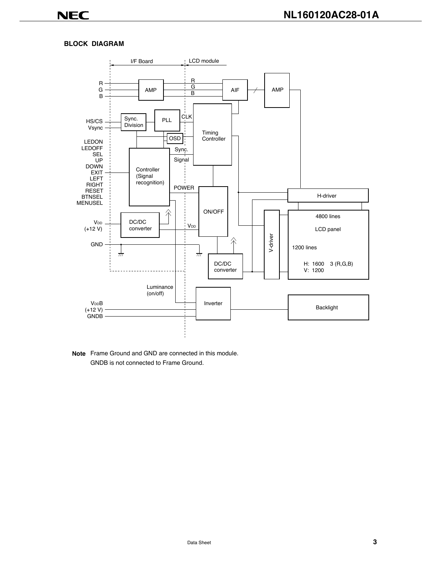### **BLOCK DIAGRAM**



**Note** Frame Ground and GND are connected in this module. GNDB is not connected to Frame Ground.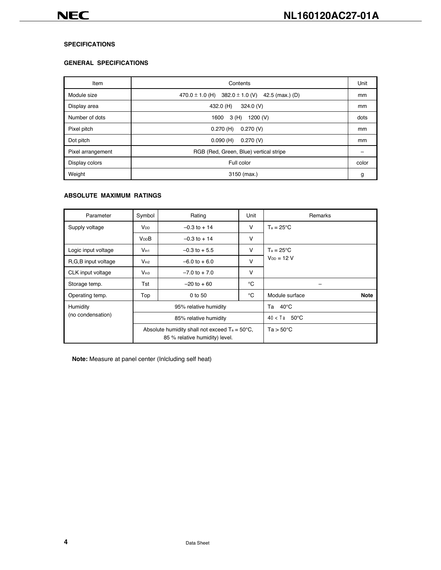### **SPECIFICATIONS**

### **GENERAL SPECIFICATIONS**

| Item              | Contents                                                      |      |  |  |
|-------------------|---------------------------------------------------------------|------|--|--|
| Module size       | $382.0 \pm 1.0$ (V)<br>42.5 (max.) (D)<br>470.0 $\pm$ 1.0 (H) |      |  |  |
| Display area      | 324.0 (V)<br>432.0 (H)                                        |      |  |  |
| Number of dots    | 1200 (V)<br>3 (H)<br>1600                                     | dots |  |  |
| Pixel pitch       | 0.270(V)<br>$0.270$ (H)                                       | mm   |  |  |
| Dot pitch         | 0.270(V)<br>$0.090$ (H)                                       |      |  |  |
| Pixel arrangement | RGB (Red, Green, Blue) vertical stripe                        |      |  |  |
| Display colors    | Full color                                                    |      |  |  |
| Weight            | 3150 (max.)                                                   | g    |  |  |

### **ABSOLUTE MAXIMUM RATINGS**

| Parameter                                  | Symbol                 | Rating<br>Unit                                                                            |        | Remarks                       |
|--------------------------------------------|------------------------|-------------------------------------------------------------------------------------------|--------|-------------------------------|
| Supply voltage                             | <b>V</b> <sub>DD</sub> | v<br>$-0.3$ to $+14$                                                                      |        | $Ta = 25^{\circ}C$            |
|                                            | <b>V<sub>DD</sub>B</b> | $-0.3$ to $+14$                                                                           | v      |                               |
| Logic input voltage                        | V <sub>ln1</sub>       | $\vee$<br>$-0.3$ to + 5.5                                                                 |        | $Ta = 25^{\circ}C$            |
| R, G, B input voltage                      | V <sub>ln2</sub>       | $-6.0$ to $+6.0$                                                                          | $\vee$ | $V_{DD} = 12 V$               |
| CLK input voltage                          | V <sub>ln3</sub>       | $-7.0$ to $+7.0$                                                                          | v      |                               |
| Storage temp.                              | Tst                    | $-20$ to $+60$                                                                            | °C     |                               |
| Operating temp.                            | Top                    | °C<br>0 to 50                                                                             |        | Module surface<br><b>Note</b> |
| Humidity                                   |                        | 95% relative humidity                                                                     |        | Ta $40^{\circ}$ C             |
| (no condensation)<br>85% relative humidity |                        |                                                                                           |        | $40 < Ta$ 50 °C               |
|                                            |                        | Absolute humidity shall not exceed $Ta = 50^{\circ}C$ ,<br>85 % relative humidity) level. |        | $Ta > 50^{\circ}C$            |

**Note:** Measure at panel center (Inlcluding self heat)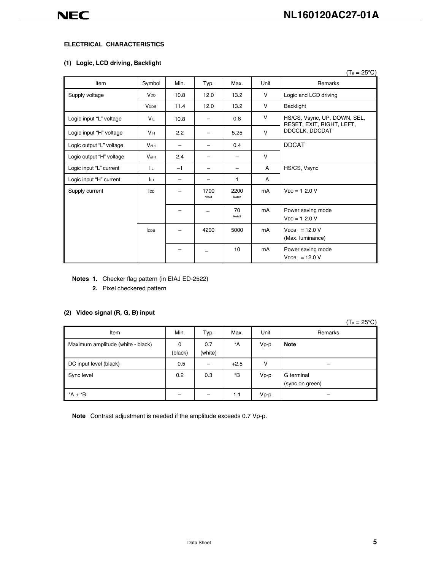### **ELECTRICAL CHARACTERISTICS**

### **(1) Logic, LCD driving, Backlight**

|                          |                  |      |               |                          |        | $(T_a = 25^{\circ}C)$                                     |  |
|--------------------------|------------------|------|---------------|--------------------------|--------|-----------------------------------------------------------|--|
| Item                     | Symbol           | Min. | Typ.          | Max.                     | Unit   | Remarks                                                   |  |
| Supply voltage           | V <sub>DD</sub>  | 10.8 | 12.0          | 13.2                     | v      | Logic and LCD driving                                     |  |
|                          | <b>VDDB</b>      | 11.4 | 12.0          | 13.2                     | $\vee$ | Backlight                                                 |  |
| Logic input "L" voltage  | VIL              | 10.8 |               | 0.8                      | v      | HS/CS, Vsync, UP, DOWN, SEL,<br>RESET, EXIT, RIGHT, LEFT, |  |
| Logic input "H" voltage  | V <sub>IH</sub>  | 2.2  |               | 5.25                     | $\vee$ | DDCCLK, DDCDAT                                            |  |
| Logic output "L" voltage | V <sub>oL1</sub> |      |               | 0.4                      |        | <b>DDCAT</b>                                              |  |
| Logic output "H" voltage | V <sub>OH1</sub> | 2.4  |               | $\overline{\phantom{0}}$ | $\vee$ |                                                           |  |
| Logic input "L" current  | lu.              | $-1$ |               |                          | A      | HS/CS, Vsync                                              |  |
| Logic input "H" current  | Ιн               |      |               | 1                        | A      |                                                           |  |
| Supply current           | Inp              |      | 1700<br>Note1 | 2200<br>Note2            | mA     | $V_{DD} = 1, 2, 0, V$                                     |  |
|                          |                  |      |               | 70<br>Note2              | mA     | Power saving mode<br>$V_{DD} = 12.0 V$                    |  |
|                          | Ina              |      | 4200          | 5000                     | mA     | $VDB = 12.0 V$<br>(Max. luminance)                        |  |
|                          |                  |      |               | 10                       | mA     | Power saving mode<br>$VDB = 12.0 V$                       |  |

**Notes 1.** Checker flag pattern (in EIAJ ED-2522)

**2.** Pixel checkered pattern

### **(2) Video signal (R, G, B) input**

 $(T_a = 25^{\circ}C)$ 

| Item                              | Min.         | Typ.                     | Max.             | Unit | Remarks                       |
|-----------------------------------|--------------|--------------------------|------------------|------|-------------------------------|
| Maximum amplitude (white - black) | 0<br>(black) | 0.7<br>(white)           | $^*A$            | Vp-p | <b>Note</b>                   |
| DC input level (black)            | 0.5          | $\overline{\phantom{0}}$ | $+2.5$           | v    | -                             |
| Sync level                        | 0.2          | 0.3                      | $*_{\mathsf{B}}$ | Vp-p | G terminal<br>(sync on green) |
| $*A + B$                          |              | $\overline{\phantom{0}}$ | 1.1              | Vp-p |                               |

**Note** Contrast adjustment is needed if the amplitude exceeds 0.7 Vp-p.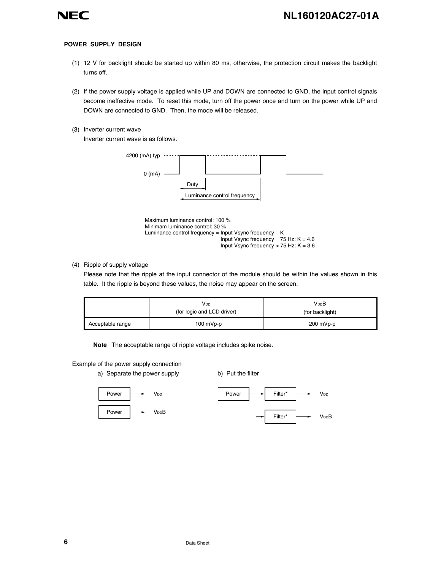### **POWER SUPPLY DESIGN**

- (1) 12 V for backlight should be started up within 80 ms, otherwise, the protection circuit makes the backlight turns off.
- (2) If the power supply voltage is applied while UP and DOWN are connected to GND, the input control signals become ineffective mode. To reset this mode, turn off the power once and turn on the power while UP and DOWN are connected to GND. Then, the mode will be released.
- (3) Inverter current wave

Inverter current wave is as follows.



Input Vsync frequency 75 Hz:  $K = 4.6$ Input Vsync frequency  $> 75$  Hz: K = 3.6

(4) Ripple of supply voltage

Please note that the ripple at the input connector of the module should be within the values shown in this table. It the ripple is beyond these values, the noise may appear on the screen.

|                  | Vdd<br>(for logic and LCD driver) | <b>V<sub>DD</sub>B</b><br>(for backlight) |
|------------------|-----------------------------------|-------------------------------------------|
| Acceptable range | $100$ mVp-p                       | 200 mVp-p                                 |

**Note** The acceptable range of ripple voltage includes spike noise.

Example of the power supply connection

a) Separate the power supply b) Put the filter



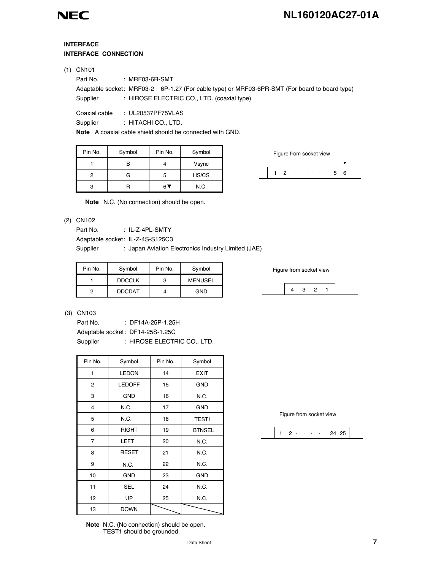### **INTERFACE INTERFACE CONNECTION**

### (1) CN101

| Part No.      | : MRF03-6R-SMT                                                                                |
|---------------|-----------------------------------------------------------------------------------------------|
|               | Adaptable socket: MRF03-2 6P-1.27 (For cable type) or MRF03-6PR-SMT (For board to board type) |
| Supplier      | : HIROSE ELECTRIC CO., LTD. (coaxial type)                                                    |
| Coaxial cable | : UL20537PF75VLAS                                                                             |
| Supplier      | : HITACHI CO., LTD.                                                                           |

**Note** A coaxial cable shield should be connected with GND.

| Pin No. | Symbol | Pin No. | Symbol |
|---------|--------|---------|--------|
|         |        |         | Vsync  |
| 2       | G      | h       | HS/CS  |
|         |        |         | N.C.   |

Figure from socket view



**Note** N.C. (No connection) should be open.

### (2) CN102

Part No. : IL-Z-4PL-SMTY

Adaptable socket: IL-Z-4S-S125C3

Supplier : Japan Aviation Electronics Industry Limited (JAE)

| Figure from so | Symbol         | Pin No. | Symbol        | Pin No. |
|----------------|----------------|---------|---------------|---------|
|                | <b>MENUSEL</b> | ₽       | <b>DDCCLK</b> |         |
| 3              | <b>GND</b>     |         | <b>DDCDAT</b> | റ       |

Figure from socket view



### (3) CN103

Part No. : DF14A-25P-1.25H Adaptable socket: DF14-25S-1.25C Supplier : HIROSE ELECTRIC CO,. LTD.

| Pin No. | Symbol        | Pin No. | Symbol            |
|---------|---------------|---------|-------------------|
| 1       | <b>LEDON</b>  | 14      | <b>EXIT</b>       |
| 2       | <b>LEDOFF</b> | 15      | <b>GND</b>        |
| 3       | <b>GND</b>    | 16      | N.C.              |
| 4       | N.C.          | 17      | <b>GND</b>        |
| 5       | N.C.          | 18      | TEST <sub>1</sub> |
| 6       | <b>RIGHT</b>  | 19      | <b>BTNSEL</b>     |
| 7       | <b>LEFT</b>   | 20      | N.C.              |
| 8       | <b>RESET</b>  | 21      | N.C.              |
| 9       | N.C.          | 22      | N.C.              |
| 10      | <b>GND</b>    | 23      | <b>GND</b>        |
| 11      | <b>SEL</b>    | 24      | N.C.              |
| 12      | UP            | 25      | N.C.              |
| 13      | <b>DOWN</b>   |         |                   |

**Note** N.C. (No connection) should be open. TEST1 should be grounded.

Figure from socket view

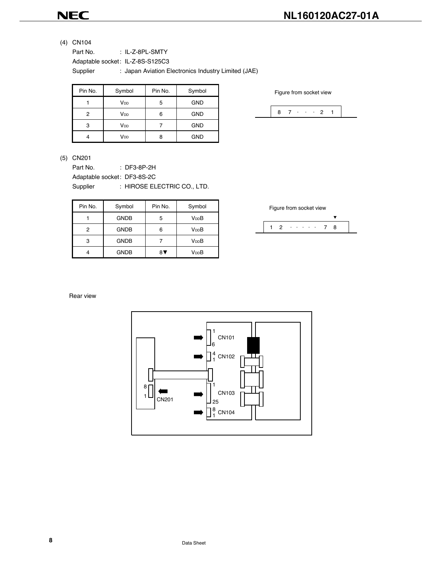### **NL160120AC27-01A**

(4) CN104

Part No. : IL-Z-8PL-SMTY

Adaptable socket: IL-Z-8S-S125C3

Supplier : Japan Aviation Electronics Industry Limited (JAE)

| Pin No. | Symbol          | Pin No. | Symbol     |
|---------|-----------------|---------|------------|
|         | V <sub>DD</sub> | 5       | <b>GND</b> |
| 2       | V <sub>DD</sub> | 6       | <b>GND</b> |
| 3       | V <sub>DD</sub> |         | <b>GND</b> |
|         | V <sub>DD</sub> | R       | <b>GND</b> |

Figure from socket view



### (5) CN201

Part No. : DF3-8P-2H Adaptable socket: DF3-8S-2C

Supplier : HIROSE ELECTRIC CO., LTD.

| Pin No. | Symbol      | Pin No. | Symbol            |
|---------|-------------|---------|-------------------|
|         | <b>GNDB</b> | 5       | V <sub>DD</sub> B |
| 2       | <b>GNDB</b> | 6       | V <sub>DD</sub> B |
| 3       | <b>GNDB</b> |         | V <sub>DD</sub> B |
|         | <b>GNDB</b> | 87      | V <sub>DD</sub> B |



Rear view

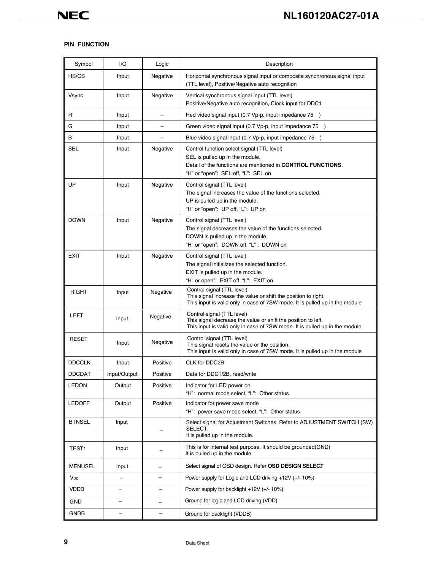### **PIN FUNCTION**

| Symbol            | I/O          | Logic                    | Description                                                                                                                                                                         |
|-------------------|--------------|--------------------------|-------------------------------------------------------------------------------------------------------------------------------------------------------------------------------------|
| HS/CS             | Input        | Negative                 | Horizontal synchronous signal input or composite synchronous signal input<br>(TTL level), Positive/Negative auto recognition                                                        |
| Vsync             | Input        | Negative                 | Vertical synchronous signal input (TTL level)<br>Positive/Negative auto recognition, Clock input for DDC1                                                                           |
| R                 | Input        |                          | Red video signal input (0.7 Vp-p, input impedance 75 )                                                                                                                              |
| G                 | Input        |                          | Green video signal input (0.7 Vp-p, input impedance 75 )                                                                                                                            |
| B                 | Input        |                          | Blue video signal input (0.7 Vp-p, input impedance 75 )                                                                                                                             |
| <b>SEL</b>        | Input        | Negative                 | Control function select signal (TTL level)<br>SEL is pulled up in the module.<br>Detail of the functions are mentioned in CONTROL FUNCTIONS.<br>"H" or "open": SEL off, "L": SEL on |
| UP                | Input        | Negative                 | Control signal (TTL level)<br>The signal increases the value of the functions selected.<br>UP is pulled up in the module.<br>"H" or "open": UP off, "L": UP on                      |
| <b>DOWN</b>       | Input        | Negative                 | Control signal (TTL level)<br>The signal decreases the value of the functions selected.<br>DOWN is pulled up in the module.<br>"H" or "open": DOWN off, "L": DOWN on                |
| <b>EXIT</b>       | Input        | Negative                 | Control signal (TTL level)<br>The signal initializes the selected function.<br>EXIT is pulled up in the module.<br>"H" or open": EXIT off, "L": EXIT on                             |
| <b>RIGHT</b>      | Input        | Negative                 | Control signal (TTL level)<br>This signal increase the value or shift the position to right.<br>This input is valid only in case of 7SW mode. It is pulled up in the module         |
| <b>LEFT</b>       | Input        | Negative                 | Control signal (TTL level)<br>This signal decrease the value or shift the position to left.<br>This input is valid only in case of 7SW mode. It is pulled up in the module          |
| <b>RESET</b>      | Input        | Negative                 | Control signal (TTL level)<br>This signal resets the value or the position.<br>This input is valid only in case of 7SW mode. It is pulled up in the module                          |
| <b>DDCCLK</b>     | Input        | Positive                 | CLK for DDC2B                                                                                                                                                                       |
| <b>DDCDAT</b>     | Input/Output | Positive                 | Data for DDC1/2B, read/write                                                                                                                                                        |
| <b>LEDON</b>      | Output       | Positive                 | Indicator for LED power on<br>"H": normal mode select, "L": Other status                                                                                                            |
| <b>LEDOFF</b>     | Output       | Positive                 | Indicator for power save mode<br>"H": power save mode select, "L": Other status                                                                                                     |
| <b>BTNSEL</b>     | Input        |                          | Select signal for Adjustment Switches. Refer to ADJUSTMENT SWITCH (SW)<br>SELECT.<br>It is pulled up in the module.                                                                 |
| TEST <sub>1</sub> | Input        |                          | This is for internal test purpose. It should be grounded (GND)<br>It is pulled up in the module.                                                                                    |
| <b>MENUSEL</b>    | Input        |                          | Select signal of OSD design. Refer OSD DESIGN SELECT                                                                                                                                |
| V <sub>DD</sub>   |              |                          | Power supply for Logic and LCD driving +12V (+/- 10%)                                                                                                                               |
| <b>VDDB</b>       |              | $\overline{\phantom{0}}$ | Power supply for backlight $+12V$ ( $+/- 10\%$ )                                                                                                                                    |
| <b>GND</b>        |              |                          | Ground for logic and LCD driving (VDD)                                                                                                                                              |
| <b>GNDB</b>       |              |                          | Ground for backlight (VDDB)                                                                                                                                                         |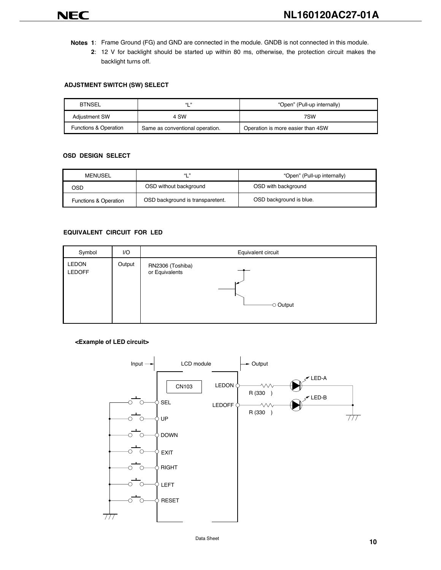- **Notes 1**: Frame Ground (FG) and GND are connected in the module. GNDB is not connected in this module.
	- **2**: 12 V for backlight should be started up within 80 ms, otherwise, the protection circuit makes the backlight turns off.

### **ADJSTMENT SWITCH (SW) SELECT**

| <b>BTNSEL</b>                    | 661 33                          | "Open" (Pull-up internally)       |
|----------------------------------|---------------------------------|-----------------------------------|
| <b>Adjustment SW</b>             | 4 SW                            | 7SW                               |
| <b>Functions &amp; Operation</b> | Same as conventional operation. | Operation is more easier than 4SW |

#### **OSD DESIGN SELECT**

| 661 33<br>MENUSEL                |                                  | "Open" (Pull-up internally) |  |  |
|----------------------------------|----------------------------------|-----------------------------|--|--|
| OSD without background<br>OSD    |                                  | OSD with background         |  |  |
| <b>Functions &amp; Operation</b> | OSD background is transparetent. | OSD background is blue.     |  |  |

#### **EQUIVALENT CIRCUIT FOR LED**

| Symbol                        | I/O    | Equivalent circuit                                  |
|-------------------------------|--------|-----------------------------------------------------|
| <b>LEDON</b><br><b>LEDOFF</b> | Output | RN2306 (Toshiba)<br>or Equivalents<br>$\sim$ Output |

#### **<Example of LED circuit>**



Data Sheet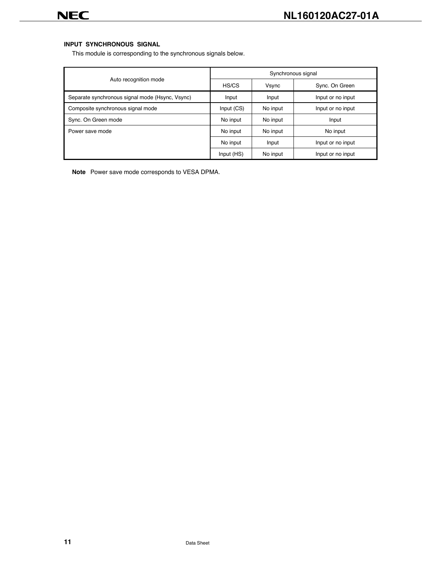### **INPUT SYNCHRONOUS SIGNAL**

This module is corresponding to the synchronous signals below.

|                                                 | Synchronous signal |          |                   |  |  |  |
|-------------------------------------------------|--------------------|----------|-------------------|--|--|--|
| Auto recognition mode                           | HS/CS              | Vsync    | Sync. On Green    |  |  |  |
| Separate synchronous signal mode (Hsync, Vsync) | Input              | Input    | Input or no input |  |  |  |
| Composite synchronous signal mode               | Input (CS)         | No input | Input or no input |  |  |  |
| Sync. On Green mode                             | No input           | No input | Input             |  |  |  |
| Power save mode                                 | No input           | No input | No input          |  |  |  |
|                                                 | No input           | Input    | Input or no input |  |  |  |
|                                                 | Input (HS)         | No input | Input or no input |  |  |  |

**Note** Power save mode corresponds to VESA DPMA.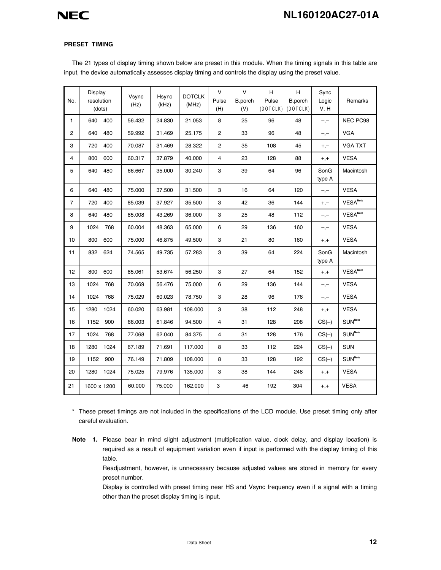### **PRESET TIMING**

The 21 types of display timing shown below are preset in this module. When the timing signals in this table are input, the device automatically assesses display timing and controls the display using the preset value.

| No.          | Display<br>resolution<br>(dots) | Vsync<br>(Hz) | Hsync<br>(kHz) | <b>DOTCLK</b><br>(MHz) | $\vee$<br>Pulse<br>(H) | $\vee$<br>B.porch<br>(V) | H.<br>Pulse<br>(DOTCLK) | H<br>B.porch<br>(DOTCLK) | Sync<br>Logic<br>V, H | Remarks                                                   |
|--------------|---------------------------------|---------------|----------------|------------------------|------------------------|--------------------------|-------------------------|--------------------------|-----------------------|-----------------------------------------------------------|
| $\mathbf{1}$ | 640<br>400                      | 56.432        | 24.830         | 21.053                 | 8                      | 25                       | 96                      | 48                       | $-,-$                 | NEC PC98                                                  |
| 2            | 640<br>480                      | 59.992        | 31.469         | 25.175                 | $\mathbf{2}$           | 33                       | 96                      | 48                       | $-,-$                 | <b>VGA</b>                                                |
| 3            | 400<br>720                      | 70.087        | 31.469         | 28.322                 | $\mathbf{2}$           | 35                       | 108                     | 45                       | $+,-$                 | <b>VGA TXT</b>                                            |
| 4            | 800<br>600                      | 60.317        | 37.879         | 40.000                 | 4                      | 23                       | 128                     | 88                       | $+,+$                 | <b>VESA</b>                                               |
| 5            | 640<br>480                      | 66.667        | 35.000         | 30.240                 | 3                      | 39                       | 64                      | 96                       | SonG<br>type A        | Macintosh                                                 |
| 6            | 640<br>480                      | 75.000        | 37.500         | 31.500                 | 3                      | 16                       | 64                      | 120                      | $-,-$                 | <b>VESA</b>                                               |
| 7            | 720<br>400                      | 85.039        | 37.927         | 35.500                 | 3                      | 42                       | 36                      | 144                      | $+,-$                 | $\ensuremath{\mathsf{VESA}}^{\ensuremath{\mathsf{Note}}}$ |
| 8            | 640<br>480                      | 85.008        | 43.269         | 36.000                 | 3                      | 25                       | 48                      | 112                      | $-,-$                 | <b>VESA<sup>Note</sup></b>                                |
| 9            | 1024<br>768                     | 60.004        | 48.363         | 65.000                 | 6                      | 29                       | 136                     | 160                      | $-,-$                 | <b>VESA</b>                                               |
| 10           | 800<br>600                      | 75.000        | 46.875         | 49.500                 | 3                      | 21                       | 80                      | 160                      | $+,+$                 | <b>VESA</b>                                               |
| 11           | 832<br>624                      | 74.565        | 49.735         | 57.283                 | 3                      | 39                       | 64                      | 224                      | SonG<br>type A        | Macintosh                                                 |
| 12           | 600<br>800                      | 85.061        | 53.674         | 56.250                 | 3                      | 27                       | 64                      | 152                      | $+,+$                 | <b>VESA<sup>Note</sup></b>                                |
| 13           | 1024<br>768                     | 70.069        | 56.476         | 75.000                 | 6                      | 29                       | 136                     | 144                      | $-,-$                 | <b>VESA</b>                                               |
| 14           | 1024<br>768                     | 75.029        | 60.023         | 78.750                 | 3                      | 28                       | 96                      | 176                      | $-,-$                 | <b>VESA</b>                                               |
| 15           | 1280<br>1024                    | 60.020        | 63.981         | 108.000                | 3                      | 38                       | 112                     | 248                      | $+,+$                 | <b>VESA</b>                                               |
| 16           | 1152<br>900                     | 66.003        | 61.846         | 94.500                 | 4                      | 31                       | 128                     | 208                      | $CS(-)$               | $\mathsf{SUM}^\mathsf{Note}$                              |
| 17           | 1024<br>768                     | 77.068        | 62.040         | 84.375                 | $\overline{4}$         | 31                       | 128                     | 176                      | $CS(-)$               | $\mathsf{SUM}^\mathsf{Note}$                              |
| 18           | 1280<br>1024                    | 67.189        | 71.691         | 117.000                | 8                      | 33                       | 112                     | 224                      | $CS(-)$               | <b>SUN</b>                                                |
| 19           | 1152<br>900                     | 76.149        | 71.809         | 108.000                | 8                      | 33                       | 128                     | 192                      | $CS(-)$               | $\mathsf{SUM}^\mathsf{Note}$                              |
| 20           | 1280<br>1024                    | 75.025        | 79.976         | 135.000                | 3                      | 38                       | 144                     | 248                      | $+,+$                 | <b>VESA</b>                                               |
| 21           | 1600 x 1200                     | 60.000        | 75.000         | 162.000                | 3                      | 46                       | 192                     | 304                      | $+,+$                 | <b>VESA</b>                                               |

\* These preset timings are not included in the specifications of the LCD module. Use preset timing only after careful evaluation.

**Note 1.** Please bear in mind slight adjustment (multiplication value, clock delay, and display location) is required as a result of equipment variation even if input is performed with the display timing of this table.

Readjustment, however, is unnecessary because adjusted values are stored in memory for every preset number.

Display is controlled with preset timing near HS and Vsync frequency even if a signal with a timing other than the preset display timing is input.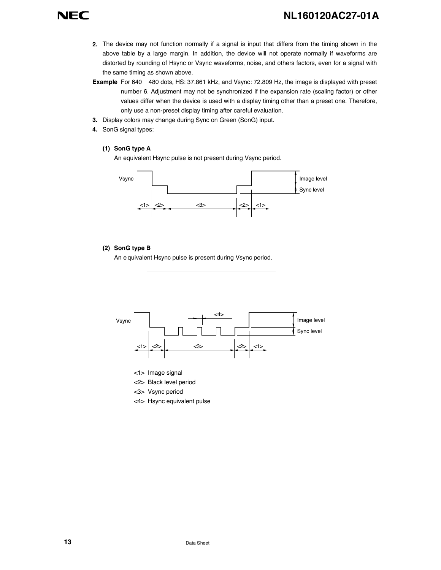- **2.** The device may not function normally if a signal is input that differs from the timing shown in the above table by a large margin. In addition, the device will not operate normally if waveforms are distorted by rounding of Hsync or Vsync waveforms, noise, and others factors, even for a signal with the same timing as shown above.
- **Example** For 640 480 dots, HS: 37.861 kHz, and Vsync: 72.809 Hz, the image is displayed with preset number 6. Adjustment may not be synchronized if the expansion rate (scaling factor) or other values differ when the device is used with a display timing other than a preset one. Therefore, only use a non-preset display timing after careful evaluation.
- **3.** Display colors may change during Sync on Green (SonG) input.
- **4.** SonG signal types:

### **(1) SonG type A**

An equivalent Hsync pulse is not present during Vsync period.



### **(2) SonG type B**

An e quivalent Hsync pulse is present during Vsync period.



<2> Black level period

<3> Vsync period

<4> Hsync equivalent pulse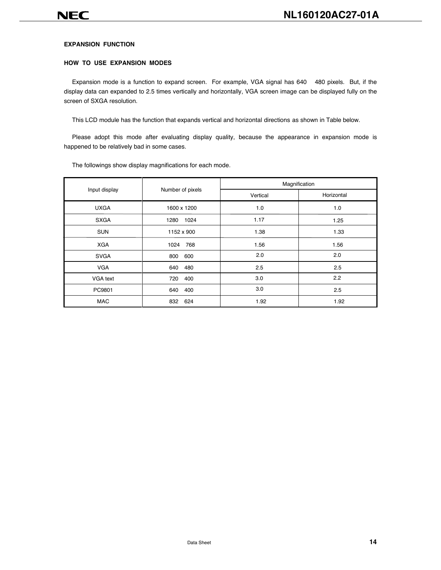### **EXPANSION FUNCTION**

### **HOW TO USE EXPANSION MODES**

Expansion mode is a function to expand screen. For example, VGA signal has 640 480 pixels. But, if the display data can expanded to 2.5 times vertically and horizontally, VGA screen image can be displayed fully on the screen of SXGA resolution.

This LCD module has the function that expands vertical and horizontal directions as shown in Table below.

Please adopt this mode after evaluating display quality, because the appearance in expansion mode is happened to be relatively bad in some cases.

|               |                  | Magnification |            |  |  |  |
|---------------|------------------|---------------|------------|--|--|--|
| Input display | Number of pixels | Vertical      | Horizontal |  |  |  |
| <b>UXGA</b>   | 1600 x 1200      | 1.0           | 1.0        |  |  |  |
| <b>SXGA</b>   | 1280<br>1024     | 1.17          | 1.25       |  |  |  |
| <b>SUN</b>    | 1152 x 900       | 1.38          | 1.33       |  |  |  |
| <b>XGA</b>    | 1024<br>768      | 1.56          | 1.56       |  |  |  |
| <b>SVGA</b>   | 600<br>800       | 2.0           | 2.0        |  |  |  |
| <b>VGA</b>    | 640<br>480       | 2.5           | 2.5        |  |  |  |
| VGA text      | 720<br>400       | 3.0           | 2.2        |  |  |  |
| PC9801        | 400<br>640       | 3.0           | 2.5        |  |  |  |
| <b>MAC</b>    | 624<br>832       | 1.92          | 1.92       |  |  |  |

The followings show display magnifications for each mode.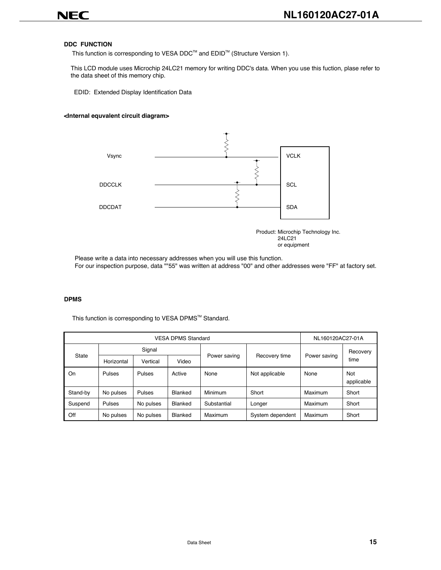

#### **DDC FUNCTION**

This function is corresponding to VESA DDC<sup>™</sup> and EDID<sup>™</sup> (Structure Version 1).

This LCD module uses Microchip 24LC21 memory for writing DDC's data. When you use this fuction, plase refer to the data sheet of this memory chip.

EDID: Extended Display Identification Data

#### **<Internal equvalent circuit diagram>**



or equipment

Please write a data into necessary addresses when you will use this function. For our inspection purpose, data ""55" was written at address "00" and other addresses were "FF" at factory set.

#### **DPMS**

|          | <b>VESA DPMS Standard</b> |           |                       |             |                  |              | NL160120AC27-01A  |  |  |
|----------|---------------------------|-----------|-----------------------|-------------|------------------|--------------|-------------------|--|--|
| State    | Signal                    |           |                       |             |                  |              | Recovery          |  |  |
|          | Horizontal                | Vertical  | Power saving<br>Video |             | Recovery time    | Power saving | time              |  |  |
| On       | Pulses                    | Pulses    | Active                | None        | Not applicable   | None         | Not<br>applicable |  |  |
| Stand-by | No pulses                 | Pulses    | Blanked               | Minimum     | Short            | Maximum      | Short             |  |  |
| Suspend  | Pulses                    | No pulses | Blanked               | Substantial | Longer           | Maximum      | Short             |  |  |
| Off      | No pulses                 | No pulses | Blanked               | Maximum     | System dependent | Maximum      | Short             |  |  |

This function is corresponding to VESA DPMS™ Standard.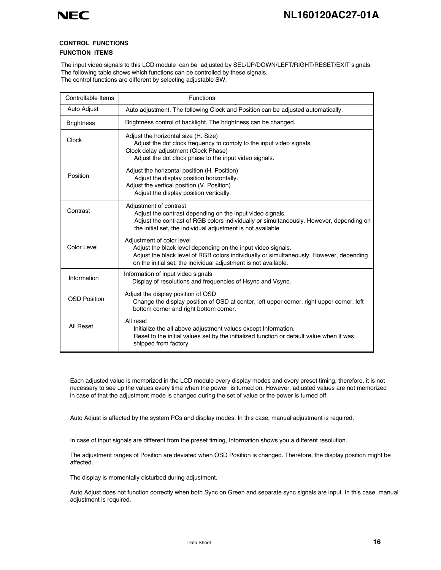### **CONTROL FUNCTIONS**

### **FUNCTION ITEMS**

The input video signals to this LCD module can be adjusted by SEL/UP/DOWN/LEFT/RIGHT/RESET/EXIT signals. The following table shows which functions can be controlled by these signals. The control functions are different by selecting adjustable SW.

Auto Adjust Controllable Items | Functions Auto adjustment. The following Clock and Position can be adjusted automatically. Brightness | Brightness control of backlight. The brightness can be changed. Adjust the horizontal size (H. Size) Adjust the dot clock frequency to comply to the input video signals. Clock delay adjustment (Clock Phase) Adjust the dot clock phase to the input video signals. **Clock** Position **Contrast** Color Level Information OSD Position All Reset Adjust the horizontal position (H. Position) Adjust the display position horizontally. Adjust the vertical position (V. Position) Adjust the display position vertically. Adjustment of contrast Adjust the contrast depending on the input video signals. Adjust the contrast of RGB colors individually or simultaneously. However, depending on the initial set, the individual adjustment is not available. Adjustment of color level Adjust the black level depending on the input video signals. Adjust the black level of RGB colors individually or simultaneously. However, depending on the initial set, the individual adjustment is not available. Information of input video signals Display of resolutions and frequencies of Hsync and Vsync. Adjust the display position of OSD Change the display position of OSD at center, left upper corner, right upper corner, left bottom corner and right bottom corner. All reset Initialize the all above adjustment values except Information. Reset to the initial values set by the initialized function or default value when it was shipped from factory.

Each adjusted value is memorized in the LCD module every display modes and every preset timing, therefore, it is not necessary to see up the values every time when the power is turned on. However, adjusted values are not memorized in case of that the adjustment mode is changed during the set of value or the power is turned off.

Auto Adjust is affected by the system PCs and display modes. In this case, manual adjustment is required.

In case of input signals are different from the preset timing, Information shows you a different resolution.

The adjustment ranges of Position are deviated when OSD Position is changed. Therefore, the display position might be affected.

The display is momentally disturbed during adjustment.

Auto Adjust does not function correctly when both Sync on Green and separate sync signals are input. In this case, manual adjustment is required.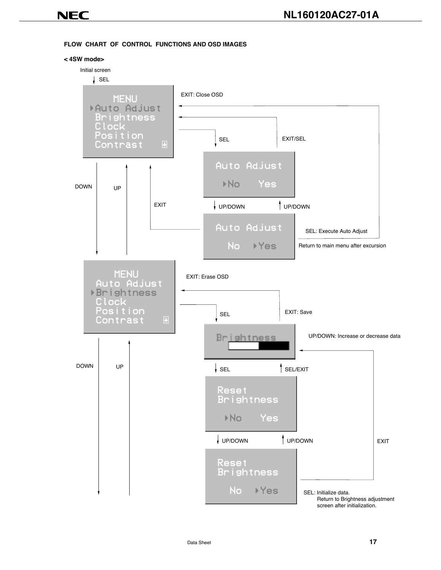### **FLOW CHART OF CONTROL FUNCTIONS AND OSD IMAGES**



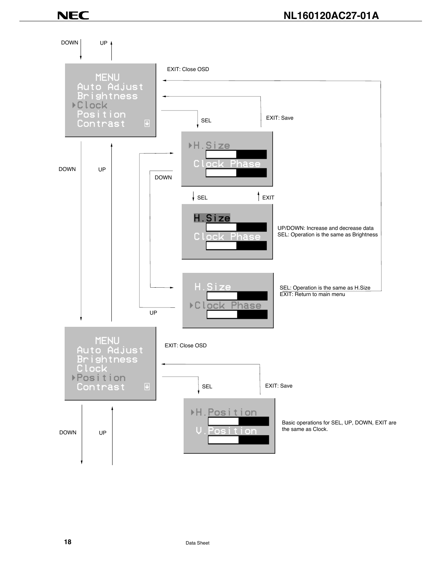DOWN UP EXIT: Close OSD **MENU** Auto Adjust<br>Brightness **▶Clock** Position SEL **EXIT:** Save Contrast ▶H.Size C. ne has DOWN UP DOWN  $\overline{\phantom{a}}$  SEL  $\overline{\phantom{a}}$  EXIT H.Size UP/DOWN: Increase and decrease data SEL: Operation is the same as Brightness C. Phase Size SEL: Operation is the same as H.Size EXIT: Return to main menu ▶Clock Phase UP **MENU** Auto Adjust<br>Brightness<br>Clock EXIT: Close OSD **Position** SEL EXIT: Save Contrast  $\overline{\mathbf{u}}$ ۶H. P 'os i ÷. i on Basic operations for SEL, UP, DOWN, EXIT are the same as Clock. U DOWN UP m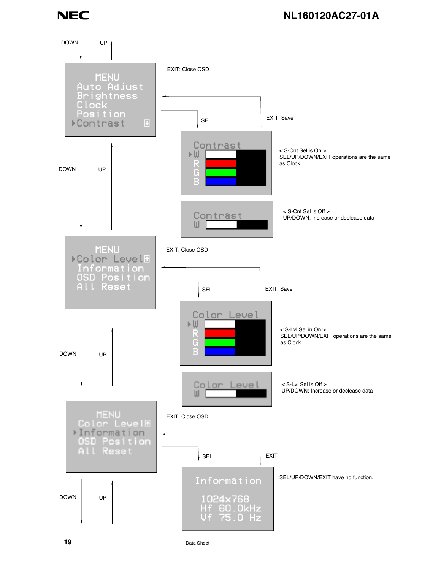DOWN UP EXIT: Close OSD **MENU** Auto Adjust<br>Brightness Clock<br>Position SEL EXIT: Save **▶Contrast** Contrast < S-Cnt Sel is On > ŀШ SEL/UP/DOWN/EXIT operations are the same R as Clock. DOWN UP G E < S-Cnt Sel is Off > Contrast UP/DOWN: Increase or declease data Ш **MENU** EXIT: Close OSD ▶ Color Level® Information<br>OSD Position All Reset SEL EXIT: Save Color Level D∪ < S-Lvl Sel in On > R SEL/UP/DOWN/EXIT operations are the same Ġ as Clock. B DOWN UP Color < S-Lvl Sel is Off > eue UP/DOWN: Increase or declease dataШ MENU<br>Color LevelH EXIT: Close OSD >Information OSD Position All Reset SEL EXIT SEL/UP/DOWN/EXIT have no function. Information DOWN UP 1024×768 Hf 60.0kHz n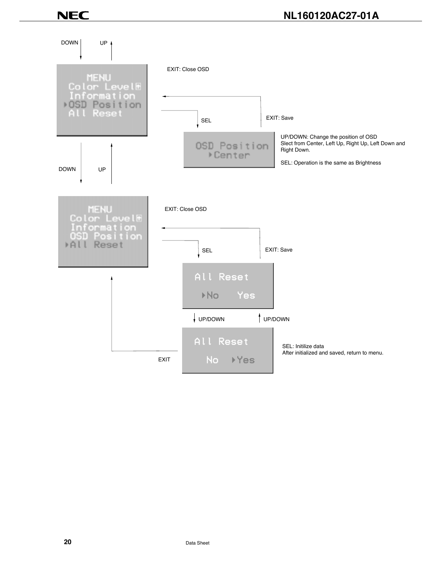### **NL160120AC27-01A**

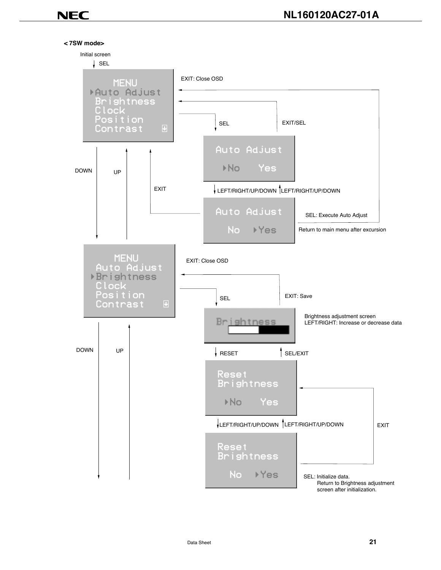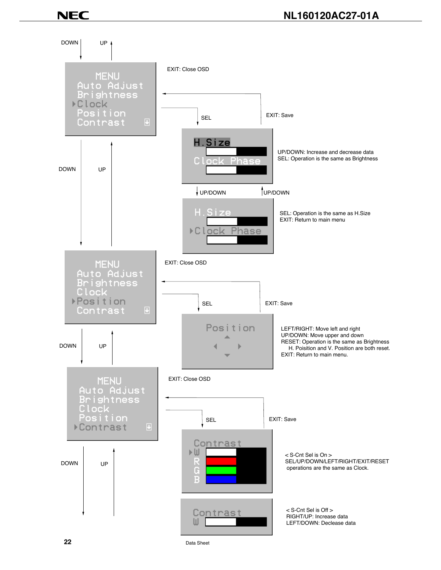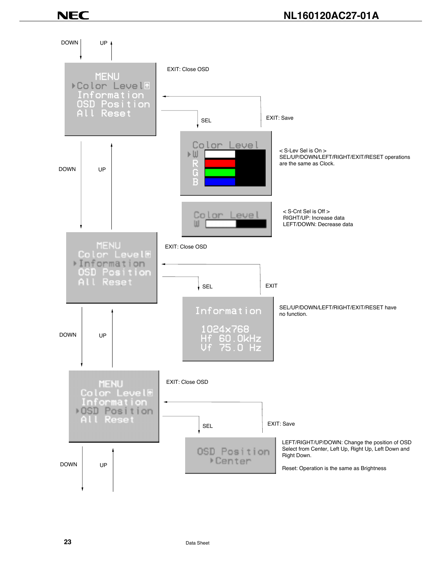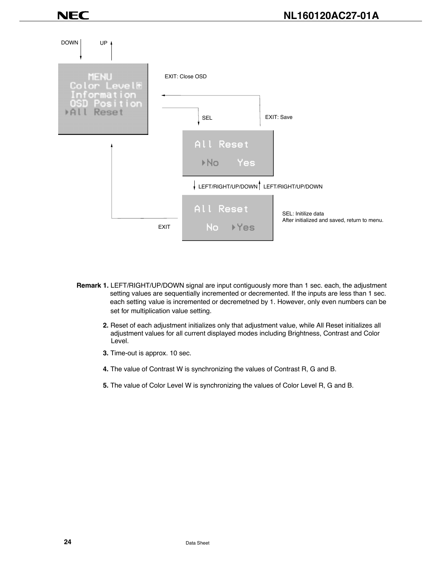

- **Remark 1.** LEFT/RIGHT/UP/DOWN signal are input contiguously more than 1 sec. each, the adjustment setting values are sequentially incremented or decremented. If the inputs are less than 1 sec. each setting value is incremented or decremetned by 1. However, only even numbers can be set for multiplication value setting.
	- **2.** Reset of each adjustment initializes only that adjustment value, while All Reset initializes all adjustment values for all current displayed modes including Brightness, Contrast and Color Level.
	- **3.** Time-out is approx. 10 sec.
	- **4.** The value of Contrast W is synchronizing the values of Contrast R, G and B.
	- **5.** The value of Color Level W is synchronizing the values of Color Level R, G and B.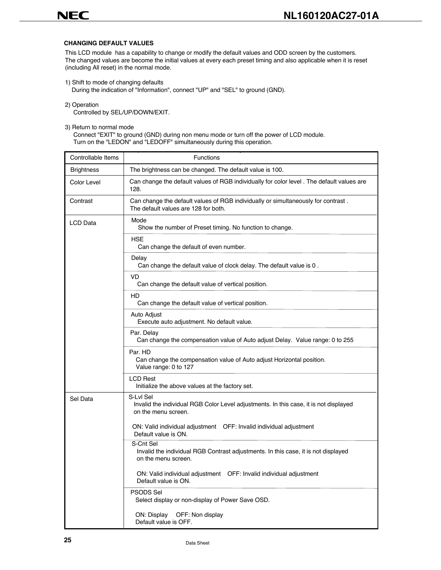### **CHANGING DEFAULT VALUES**

This LCD module has a capability to change or modify the default values and ODD screen by the customers. The changed values are become the initial values at every each preset timing and also applicable when it is reset (including All reset) in the normal mode.

1) Shift to mode of changing defaults

During the indication of "Information", connect "UP" and "SEL" to ground (GND).

2) Operation

Controlled by SEL/UP/DOWN/EXIT.

3) Return to normal mode

 Connect "EXIT" to ground (GND) during non menu mode or turn off the power of LCD module. Turn on the "LEDON" and "LEDOFF" simultaneously during this operation.

| Controllable Items | <b>Functions</b>                                                                                                          |
|--------------------|---------------------------------------------------------------------------------------------------------------------------|
| <b>Brightness</b>  | The brightness can be changed. The default value is 100.                                                                  |
| Color Level        | Can change the default values of RGB individually for color level . The default values are<br>128.                        |
| Contrast           | Can change the default values of RGB individually or simultaneously for contrast.<br>The default values are 128 for both. |
| LCD Data           | Mode<br>Show the number of Preset timing. No function to change.                                                          |
|                    | <b>HSE</b><br>Can change the default of even number.                                                                      |
|                    | Delay<br>Can change the default value of clock delay. The default value is 0.                                             |
|                    | VD<br>Can change the default value of vertical position.                                                                  |
|                    | HD<br>Can change the default value of vertical position.                                                                  |
|                    | Auto Adjust<br>Execute auto adjustment. No default value.                                                                 |
|                    | Par. Delay<br>Can change the compensation value of Auto adjust Delay. Value range: 0 to 255                               |
|                    | Par. HD<br>Can change the compensation value of Auto adjust Horizontal position.<br>Value range: 0 to 127                 |
|                    | <b>LCD Rest</b><br>Initialize the above values at the factory set.                                                        |
| Sel Data           | S-Lvl Sel<br>Invalid the individual RGB Color Level adjustments. In this case, it is not displayed<br>on the menu screen. |
|                    | ON: Valid individual adjustment   OFF: Invalid individual adjustment<br>Default value is ON.                              |
|                    | S-Cnt Sel<br>Invalid the individual RGB Contrast adjustments. In this case, it is not displayed<br>on the menu screen.    |
|                    | ON: Valid individual adjustment   OFF: Invalid individual adjustment<br>Default value is ON.                              |
|                    | PSODS Sel<br>Select display or non-display of Power Save OSD.                                                             |
|                    | ON: Display<br>OFF: Non display<br>Default value is OFF.                                                                  |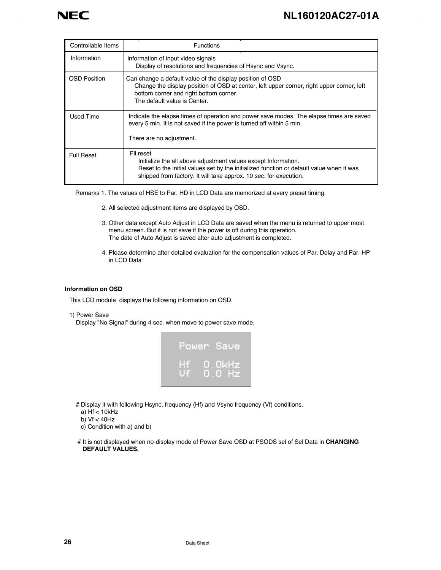| Controllable Items  | <b>Functions</b>                                                                                                                                                                                                                             |
|---------------------|----------------------------------------------------------------------------------------------------------------------------------------------------------------------------------------------------------------------------------------------|
| Information         | Information of input video signals<br>Display of resolutions and frequencies of Hsync and Vsync.                                                                                                                                             |
| <b>OSD Position</b> | Can change a default value of the display position of OSD<br>Change the display position of OSD at center, left upper corner, right upper corner, left<br>bottom corner and right bottom corner.<br>The default value is Center.             |
| Used Time           | Indicate the elapse times of operation and power save modes. The elapse times are saved<br>every 5 min. It is not saved if the power is turned off within 5 min.<br>There are no adjustment.                                                 |
| <b>Full Reset</b>   | FII reset<br>Initialize the all above adjustment values except Information.<br>Reset to the initial values set by the initialized function or default value when it was<br>shipped from factory. It will take approx. 10 sec. for execution. |

Remarks 1. The values of HSE to Par. HD in LCD Data are memorized at every preset timing.

- 2. All selected adjustment items are displayed by OSD.
- 3. Other data except Auto Adjust in LCD Data are saved when the menu is returned to upper most menu screen. But it is not save if the power is off during this operation. The date of Auto Adjust is saved after auto adjustment is completed.
- 4. Please determine after detailed evaluation for the compensation values of Par. Delay and Par. HP in LCD Data

#### **Information on OSD**

This LCD module displays the following information on OSD.

#### 1) Power Save

Display "No Signal" during 4 sec. when move to power save mode.



# Display it with following Hsync. frequency (Hf) and Vsync frequency (Vf) conditions.

a) Hf < 10kHz

- b)  $Vf < 40Hz$
- c) Condition with a) and b)
- # It is not displayed when no-display mode of Power Save OSD at PSODS sel of Sel Data in **CHANGING DEFAULT VALUES.**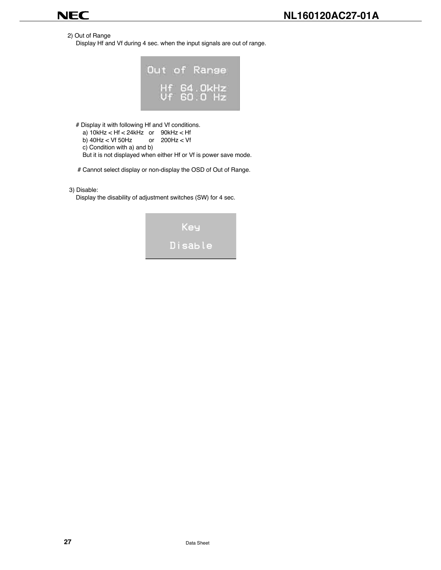2) Out of Range

Display Hf and Vf during 4 sec. when the input signals are out of range.



# Display it with following Hf and Vf conditions.

| a) $10kHz < Hf < 24kHz$ or $90kHz < Hf$ |                                                                  |
|-----------------------------------------|------------------------------------------------------------------|
| b) $40Hz < Vf$ 50Hz or 200Hz $< Vf$     |                                                                  |
| c) Condition with a) and b)             |                                                                  |
|                                         | But it is not displayed when either Hf or Vf is power save mode. |

# Cannot select display or non-display the OSD of Out of Range.

3) Disable:

Display the disability of adjustment switches (SW) for 4 sec.

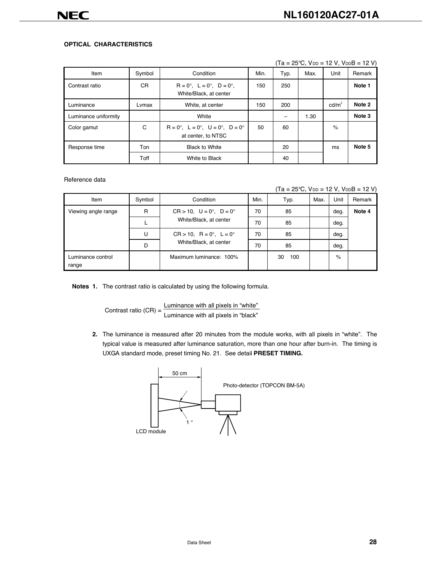### **OPTICAL CHARACTERISTICS**

|                      |        | $\cdot$ $\cdot$                                                                     |      | .    | .    |                   |        |
|----------------------|--------|-------------------------------------------------------------------------------------|------|------|------|-------------------|--------|
| Item                 | Symbol | Condition                                                                           | Min. | Typ. | Max. | Unit              | Remark |
| Contrast ratio       | CR.    | $R = 0^\circ$ , $L = 0^\circ$ , $D = 0^\circ$ ,<br>White/Black, at center           | 150  | 250  |      |                   | Note 1 |
| Luminance            | Lvmax  | White, at center                                                                    | 150  | 200  |      | cd/m <sup>2</sup> | Note 2 |
| Luminance uniformity |        | White                                                                               |      |      | 1.30 |                   | Note 3 |
| Color gamut          | C      | $R = 0^\circ$ , $L = 0^\circ$ , $U = 0^\circ$ , $D = 0^\circ$<br>at center, to NTSC | 50   | 60   |      | $\%$              |        |
| Response time        | Ton    | <b>Black to White</b>                                                               |      | 20   |      | ms                | Note 5 |
|                      | Toff   | White to Black                                                                      |      | 40   |      |                   |        |

 $(Ta = 25^{\circ}C, V_{DD} = 12 V, V_{DD}B = 12 V)$ 

Reference data

 $(Ta = 25^{\circ}C, V_{DD} = 12 V, V_{DD}B = 12 V)$ 

| Item                                               | Symbol | Min.<br>Condition                                                                   |    | Typ.      | Max. | Unit | Remark |
|----------------------------------------------------|--------|-------------------------------------------------------------------------------------|----|-----------|------|------|--------|
| Viewing angle range                                | R      | $CR > 10$ , $U = 0^{\circ}$ , $D = 0^{\circ}$<br>70<br>White/Black, at center<br>70 |    | 85        |      | deg. | Note 4 |
|                                                    |        |                                                                                     |    | 85        |      | deg. |        |
| $CR > 10$ , $R = 0^{\circ}$ , $L = 0^{\circ}$<br>U |        |                                                                                     | 70 | 85        |      | deg. |        |
|                                                    | D      | White/Black, at center                                                              | 70 | 85        |      | deg. |        |
| Luminance control<br>range                         |        | Maximum luminance: 100%                                                             |    | 100<br>30 |      | $\%$ |        |

**Notes 1.** The contrast ratio is calculated by using the following formula.

Contrast ratio  $(CR) = \frac{Luminance with all pixels in "white" }{Luminance with all pixels in "black" }$ 

**2.** The luminance is measured after 20 minutes from the module works, with all pixels in "white". The typical value is measured after luminance saturation, more than one hour after burn-in. The timing is UXGA standard mode, preset timing No. 21. See detail **PRESET TIMING.**

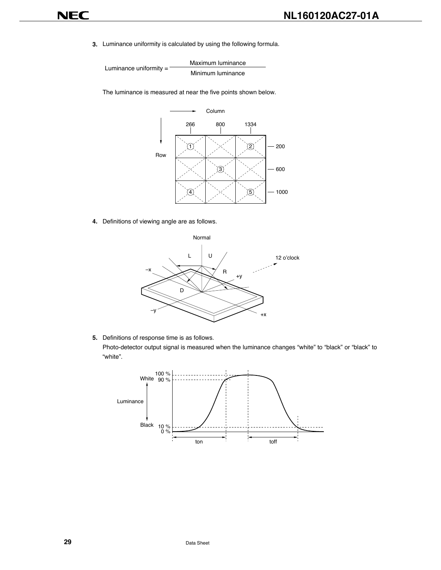**3.** Luminance uniformity is calculated by using the following formula.

Maximum luminance Luminance uniformity = Minimum luminance

The luminance is measured at near the five points shown below.



**4.** Definitions of viewing angle are as follows.



**5.** Definitions of response time is as follows.

Photo-detector output signal is measured when the luminance changes "white" to "black" or "black" to "white".

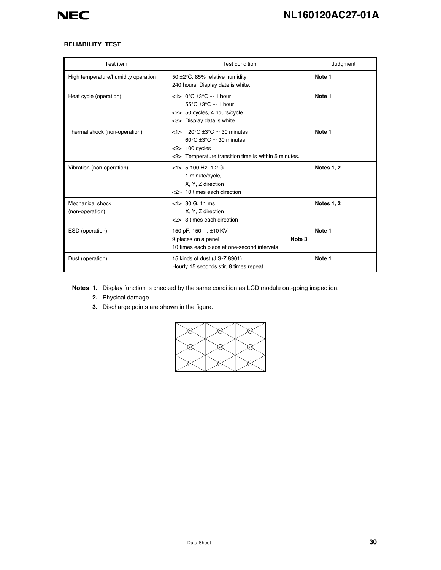### **RELIABILITY TEST**

| Test item                           | Test condition                                                                                                                                                                                     | Judgment          |
|-------------------------------------|----------------------------------------------------------------------------------------------------------------------------------------------------------------------------------------------------|-------------------|
| High temperature/humidity operation | 50 ±2°C, 85% relative humidity<br>240 hours, Display data is white.                                                                                                                                | Note 1            |
| Heat cycle (operation)              | $<$ 1> 0°C $\pm$ 3°C ··· 1 hour<br>55°C +3°C ··· 1 hour<br><2> 50 cycles, 4 hours/cycle<br><3> Display data is white.                                                                              | Note 1            |
| Thermal shock (non-operation)       | $<$ 1> 20 $\degree$ C $\pm$ 3 $\degree$ C $\cdots$ 30 minutes<br>$60^{\circ}$ C $\pm 3^{\circ}$ C $\cdots$ 30 minutes<br>$<$ 2> 100 cycles<br><3> Temperature transition time is within 5 minutes. | Note 1            |
| Vibration (non-operation)           | $<$ 1> 5-100 Hz, 1.2 G<br>1 minute/cycle,<br>X, Y, Z direction<br><2> 10 times each direction                                                                                                      | <b>Notes 1, 2</b> |
| Mechanical shock<br>(non-operation) | $<$ 1> 30 G, 11 ms<br>X, Y, Z direction<br><2> 3 times each direction                                                                                                                              | <b>Notes 1, 2</b> |
| ESD (operation)                     | 150 pF, 150 , ±10 KV<br>9 places on a panel<br>Note 3<br>10 times each place at one-second intervals                                                                                               | Note 1            |
| Dust (operation)                    | 15 kinds of dust (JIS-Z 8901)<br>Hourly 15 seconds stir, 8 times repeat                                                                                                                            | Note 1            |

**Notes 1.** Display function is checked by the same condition as LCD module out-going inspection.

- **2.** Physical damage.
- **3.** Discharge points are shown in the figure.

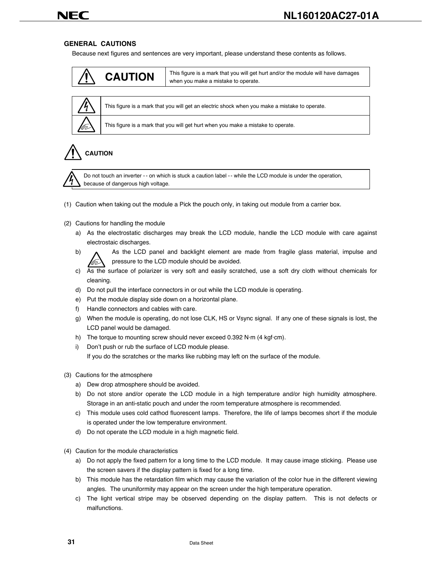### **GENERAL CAUTIONS**

Because next figures and sentences are very important, please understand these contents as follows.





This figure is a mark that you will get an electric shock when you make a mistake to operate.

This figure is a mark that you will get hurt when you make a mistake to operate.

### **CAUTION**



NEC

Do not touch an inverter -- on which is stuck a caution label -- while the LCD module is under the operation, because of dangerous high voltage.

- (1) Caution when taking out the module a Pick the pouch only, in taking out module from a carrier box.
- (2) Cautions for handling the module
	- a) As the electrostatic discharges may break the LCD module, handle the LCD module with care against electrostaic discharges.
	- b) A As the LCD panel and backlight element are made from fragile glass material, impulse and pressure to the LCD module should be avoided.
	- c) As the surface of polarizer is very soft and easily scratched, use a soft dry cloth without chemicals for cleaning.
	- d) Do not pull the interface connectors in or out while the LCD module is operating.
	- e) Put the module display side down on a horizontal plane.
	- f) Handle connectors and cables with care.
	- g) When the module is operating, do not lose CLK, HS or Vsync signal. If any one of these signals is lost, the LCD panel would be damaged.
	- h) The torque to mounting screw should never exceed 0.392 N·m (4 kgf·cm).
	- i) Don't push or rub the surface of LCD module please.

If you do the scratches or the marks like rubbing may left on the surface of the module.

- (3) Cautions for the atmosphere
	- a) Dew drop atmosphere should be avoided.
	- b) Do not store and/or operate the LCD module in a high temperature and/or high humidity atmosphere. Storage in an anti-static pouch and under the room temperature atmosphere is recommended.
	- c) This module uses cold cathod fluorescent lamps. Therefore, the life of lamps becomes short if the module is operated under the low temperature environment.
	- d) Do not operate the LCD module in a high magnetic field.
- (4) Caution for the module characteristics
	- a) Do not apply the fixed pattern for a long time to the LCD module. It may cause image sticking. Please use the screen savers if the display pattern is fixed for a long time.
	- b) This module has the retardation film which may cause the variation of the color hue in the different viewing angles. The ununiformity may appear on the screen under the high temperature operation.
	- c) The light vertical stripe may be observed depending on the display pattern. This is not defects or malfunctions.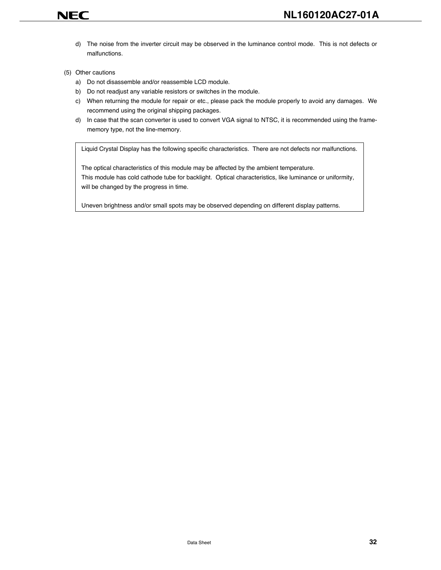d) The noise from the inverter circuit may be observed in the luminance control mode. This is not defects or malfunctions.

### (5) Other cautions

NEC

- a) Do not disassemble and/or reassemble LCD module.
- b) Do not readjust any variable resistors or switches in the module.
- c) When returning the module for repair or etc., please pack the module properly to avoid any damages. We recommend using the original shipping packages.
- d) In case that the scan converter is used to convert VGA signal to NTSC, it is recommended using the framememory type, not the line-memory.

Liquid Crystal Display has the following specific characteristics. There are not defects nor malfunctions.

The optical characteristics of this module may be affected by the ambient temperature. This module has cold cathode tube for backlight. Optical characteristics, like luminance or uniformity, will be changed by the progress in time.

Uneven brightness and/or small spots may be observed depending on different display patterns.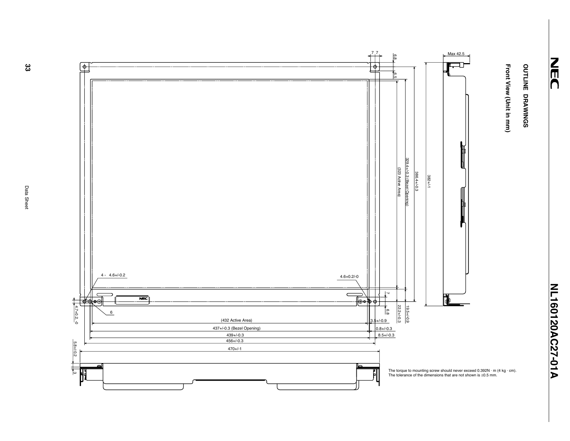# OUTLINE DRAWINGS **OUTLINE DRAWINGS**

Front View (Unit in mm) **Front View (Unit in mm)**

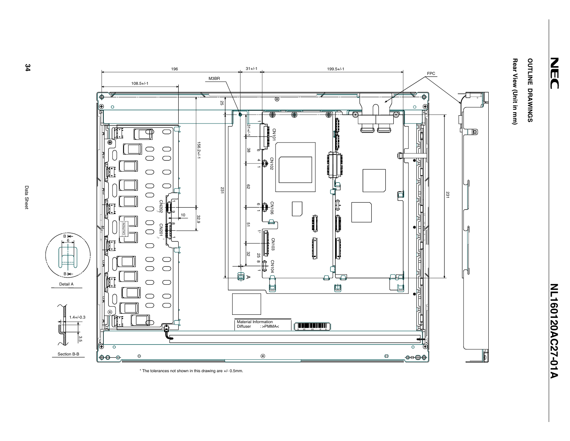# Rear View (Unit in mm) OUTLINE DRAWINGS **OUTLINE DRAWINGS**

**Rear View (Unit in mm)**



\* The tolerances not shown in this drawing are +/- 0.5mm.

Ø

 $\sqrt{ }$ 

 $34$